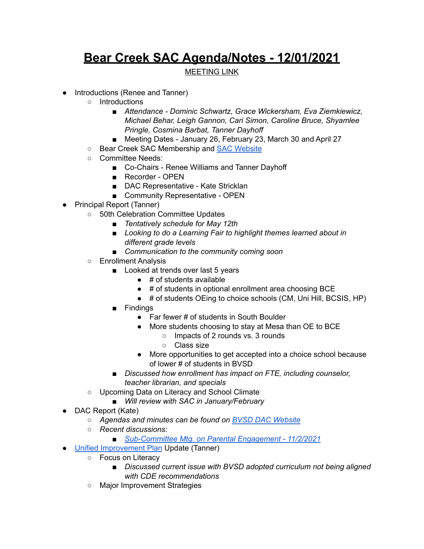## **Bear Creek SAC Agenda/Notes - 12/01/2021**

## MEETING LINK

- Introductions (Renee and Tanner)
	- Introductions
		- *■ Attendance - Dominic Schwartz, Grace Wickersham, Eva Ziemkiewicz, Michael Behar, Leigh Gannon, Cari Simon, Caroline Bruce, Shyamlee Pringle, Cosmina Barbat, Tanner Dayhoff*
		- *■* Meeting Dates January 26, February 23, March 30 and April 27
	- Bear Creek SAC Membership and SAC [Website](https://bce.bvsd.org/about/school-accountability-committee-sac)
	- Committee Needs:
		- Co-Chairs Renee Williams and Tanner Dayhoff
		- Recorder OPEN
		- DAC Representative Kate Stricklan
		- Community Representative OPEN
- Principal Report (Tanner)
	- 50th Celebration Committee Updates
		- *■ Tentatively schedule for May 12th*
		- *■ Looking to do a Learning Fair to highlight themes learned about in different grade levels*
		- *■ Communication to the community coming soon*
	- Enrollment Analysis
		- Looked at trends over last 5 years
			- $\bullet$  # of students available
			- # of students in optional enrollment area choosing BCE
			- # of students OEing to choice schools (CM, Uni Hill, BCSIS, HP)
		- Findings
			- Far fewer # of students in South Boulder
			- More students choosing to stay at Mesa than OE to BCE
				- Impacts of 2 rounds vs. 3 rounds
				- Class size
			- More opportunities to get accepted into a choice school because of lower # of students in BVSD
		- *■ Discussed how enrollment has impact on FTE, including counselor, teacher librarian, and specials*
	- Upcoming Data on Literacy and School Climate
		- *■ Will review with SAC in January/February*
- DAC Report (Kate)
	- *○ Agendas and minutes can be found on BVSD DAC [Website](https://www.bvsd.org/about/district-accountability-committee)*
	- *○ Recent discussions:*
		- *■ [Sub-Committee](https://docs.google.com/document/d/1sHpkLwkjJylm3gHYnf8dLQfgPy8UZVtqzjINZHPHaHE/edit?usp=sharing) Mtg. on Parental Engagement - 11/2/2021*
- Unified [Improvement](https://drive.google.com/file/d/1DFxT5BzQMAbohncBtzE56PAt3gQgDDC2/view?usp=sharing) Plan Update (Tanner)
	- Focus on Literacy
		- *■ Discussed current issue with BVSD adopted curriculum not being aligned with CDE recommendations*
	- Major Improvement Strategies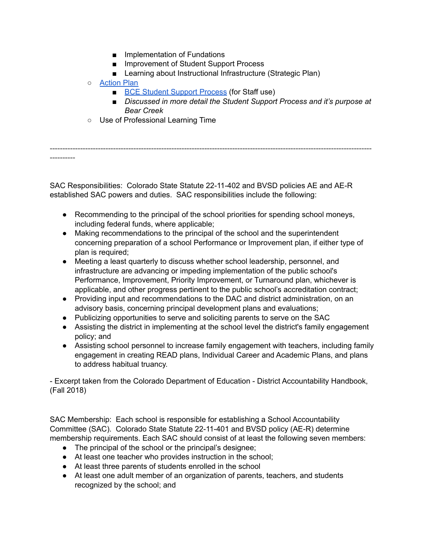- Implementation of Fundations
- Improvement of Student Support Process
- Learning about Instructional Infrastructure (Strategic Plan)
- [Action](https://docs.google.com/spreadsheets/d/13YK1C57vM9PC98z6Zi2nxuyo1v-7_XmGdTiuTfMVWfQ/edit?usp=sharing) Plan
	- BCE Student Support [Process](https://sites.google.com/bvsd.org/bcestudentsupportprocess/home) (for Staff use)
	- *■ Discussed in more detail the Student Support Process and it's purpose at Bear Creek*
- Use of Professional Learning Time

------------------------------------------------------------------------------------------------------------------------------- ----------

SAC Responsibilities: Colorado State Statute [22-11-402](http://www.lpdirect.net/casb/crs/22-11-402.html) and BVSD policies [AE](https://www.bvsd.org/about/board-of-education/policies/policy/~board/a-policies/post/ae-accountabilitycommitment-to-accomplishment) and [AE-R](https://www.bvsd.org/about/board-of-education/policies/policy/~board/a-policies/post/ae-r-accountabilitycommitment-to-accomplishment-regulation) established SAC powers and duties. SAC responsibilities include the following:

- Recommending to the principal of the school priorities for spending school moneys, including federal funds, where applicable;
- Making recommendations to the principal of the school and the superintendent concerning preparation of a school Performance or Improvement plan, if either type of plan is required;
- Meeting a least quarterly to discuss whether school leadership, personnel, and infrastructure are advancing or impeding implementation of the public school's Performance, Improvement, Priority Improvement, or Turnaround plan, whichever is applicable, and other progress pertinent to the public school's accreditation contract;
- Providing input and recommendations to the DAC and district administration, on an advisory basis, concerning principal development plans and evaluations;
- Publicizing opportunities to serve and soliciting parents to serve on the SAC
- Assisting the district in implementing at the school level the district's family engagement policy; and
- Assisting school personnel to increase family engagement with teachers, including family engagement in creating READ plans, Individual Career and Academic Plans, and plans to address habitual truancy.

- Excerpt taken from the Colorado Department of Education - District Accountability Handbook, (Fall 2018)

SAC Membership: Each school is responsible for establishing a School Accountability Committee (SAC). Colorado State Statute [22-11-401](http://www.lpdirect.net/casb/crs/22-11-401.html) and BVSD policy [\(AE-R](https://www.bvsd.org/about/board-of-education/policies/policy/~board/a-policies/post/ae-r-accountabilitycommitment-to-accomplishment-regulation)) determine membership requirements. Each SAC should consist of at least the following seven members:

- The principal of the school or the principal's designee;
- At least one teacher who provides instruction in the school;
- At least three parents of students enrolled in the school
- At least one adult member of an organization of parents, teachers, and students recognized by the school; and